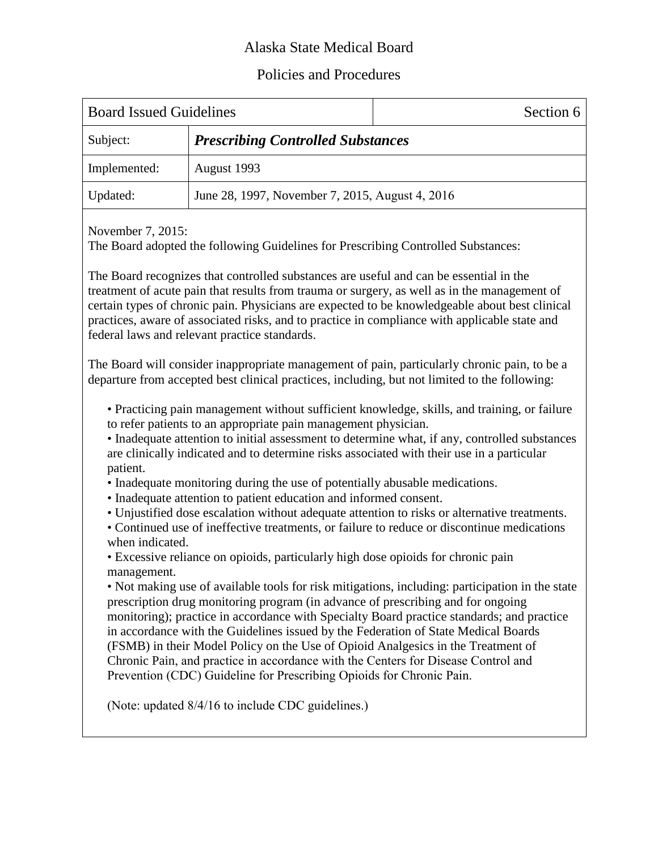## Alaska State Medical Board

## Policies and Procedures

| <b>Board Issued Guidelines</b> |                                                 | Section 6 |
|--------------------------------|-------------------------------------------------|-----------|
| Subject:                       | <b>Prescribing Controlled Substances</b>        |           |
| Implemented:                   | August 1993                                     |           |
| Updated:                       | June 28, 1997, November 7, 2015, August 4, 2016 |           |
|                                |                                                 |           |

November 7, 2015:

The Board adopted the following Guidelines for Prescribing Controlled Substances:

The Board recognizes that controlled substances are useful and can be essential in the treatment of acute pain that results from trauma or surgery, as well as in the management of certain types of chronic pain. Physicians are expected to be knowledgeable about best clinical practices, aware of associated risks, and to practice in compliance with applicable state and federal laws and relevant practice standards.

The Board will consider inappropriate management of pain, particularly chronic pain, to be a departure from accepted best clinical practices, including, but not limited to the following:

• Practicing pain management without sufficient knowledge, skills, and training, or failure to refer patients to an appropriate pain management physician.

• Inadequate attention to initial assessment to determine what, if any, controlled substances are clinically indicated and to determine risks associated with their use in a particular patient.

- Inadequate monitoring during the use of potentially abusable medications.
- Inadequate attention to patient education and informed consent.
- Unjustified dose escalation without adequate attention to risks or alternative treatments.
- Continued use of ineffective treatments, or failure to reduce or discontinue medications when indicated.

• Excessive reliance on opioids, particularly high dose opioids for chronic pain management.

• Not making use of available tools for risk mitigations, including: participation in the state prescription drug monitoring program (in advance of prescribing and for ongoing monitoring); practice in accordance with Specialty Board practice standards; and practice in accordance with the Guidelines issued by the Federation of State Medical Boards (FSMB) in their Model Policy on the Use of Opioid Analgesics in the Treatment of Chronic Pain, and practice in accordance with the Centers for Disease Control and Prevention (CDC) Guideline for Prescribing Opioids for Chronic Pain.

(Note: updated 8/4/16 to include CDC guidelines.)